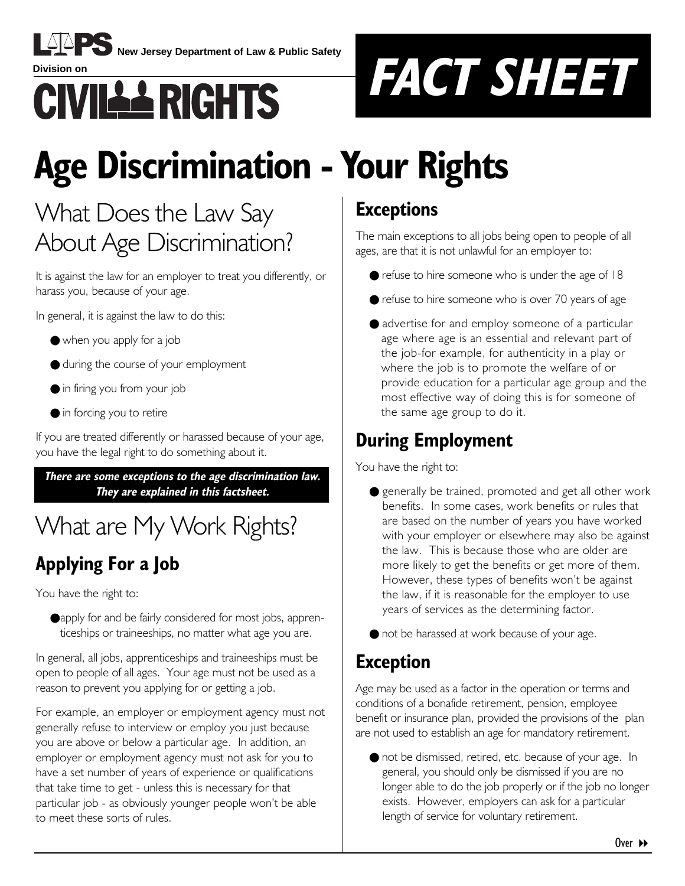

**New Jersey Department of Law & Public Safety**



# **Age Discrimination - Your Rights**

# What Does the Law Say About Age Discrimination?

It is against the law for an employer to treat you differently, or harass you, because of your age.

In general, it is against the law to do this:

- when you apply for a job
- during the course of your employment
- in firing you from your job
- in forcing you to retire

If you are treated differently or harassed because of your age, you have the legal right to do something about it.

**There are some exceptions to the age discrimination law. They are explained in this factsheet.**

# What are My Work Rights?

# **Applying For a Job**

You have the right to:

●apply for and be fairly considered for most jobs, apprenticeships or traineeships, no matter what age you are.

In general, all jobs, apprenticeships and traineeships must be open to people of all ages. Your age must not be used as a reason to prevent you applying for or getting a job.

For example, an employer or employment agency must not generally refuse to interview or employ you just because you are above or below a particular age. In addition, an employer or employment agency must not ask for you to have a set number of years of experience or qualifications that take time to get - unless this is necessary for that particular job - as obviously younger people wonít be able to meet these sorts of rules.

## **Exceptions**

The main exceptions to all jobs being open to people of all ages, are that it is not unlawful for an employer to:

- $\bullet$  refuse to hire someone who is under the age of 18
- refuse to hire someone who is over 70 years of age
- advertise for and employ someone of a particular age where age is an essential and relevant part of the job-for example, for authenticity in a play or where the job is to promote the welfare of or provide education for a particular age group and the most effective way of doing this is for someone of the same age group to do it.

## **During Employment**

You have the right to:

- generally be trained, promoted and get all other work benefits. In some cases, work benefits or rules that are based on the number of years you have worked with your employer or elsewhere may also be against the law. This is because those who are older are more likely to get the benefits or get more of them. However, these types of benefits won't be against the law, if it is reasonable for the employer to use years of services as the determining factor.
- not be harassed at work because of your age.

### **Exception**

Age may be used as a factor in the operation or terms and conditions of a bonafide retirement, pension, employee benefit or insurance plan, provided the provisions of the plan are not used to establish an age for mandatory retirement.

● not be dismissed, retired, etc. because of your age. In general, you should only be dismissed if you are no longer able to do the job properly or if the job no longer exists. However, employers can ask for a particular length of service for voluntary retirement.